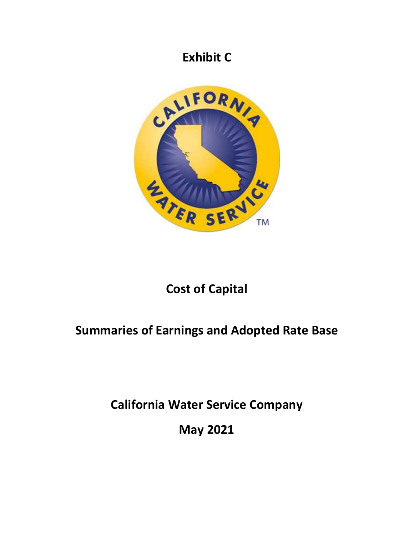## **Exhibit C**



# **Cost of Capital**

# **Summaries of Earnings and Adopted Rate Base**

**California Water Service Company** 

**May 2021**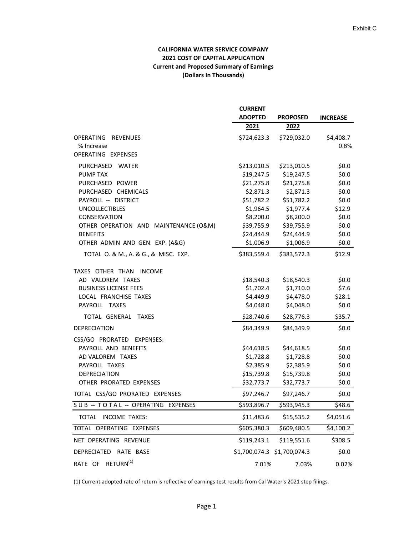## **CALIFORNIA WATER SERVICE COMPANY 2021 COST OF CAPITAL APPLICATION Current and Proposed Summary of Earnings (Dollars In Thousands)**

|                                            | <b>CURRENT</b>              |                 |                   |
|--------------------------------------------|-----------------------------|-----------------|-------------------|
|                                            | <b>ADOPTED</b>              | <b>PROPOSED</b> | <b>INCREASE</b>   |
|                                            | 2021                        | 2022            |                   |
| OPERATING<br><b>REVENUES</b><br>% Increase | \$724,623.3                 | \$729,032.0     | \$4,408.7<br>0.6% |
| OPERATING EXPENSES                         |                             |                 |                   |
| PURCHASED<br>WATER                         | \$213,010.5                 | \$213,010.5     | \$0.0\$           |
| <b>PUMP TAX</b>                            | \$19,247.5                  | \$19,247.5      | \$0.0\$           |
| PURCHASED POWER                            | \$21,275.8                  | \$21,275.8      | \$0.0\$           |
| PURCHASED CHEMICALS                        | \$2,871.3                   | \$2,871.3       | \$0.0\$           |
| PAYROLL -- DISTRICT                        | \$51,782.2                  | \$51,782.2      | \$0.0\$           |
| <b>UNCOLLECTIBLES</b>                      | \$1,964.5                   | \$1,977.4       | \$12.9            |
| CONSERVATION                               | \$8,200.0                   | \$8,200.0       | \$0.0\$           |
| OTHER OPERATION AND MAINTENANCE (O&M)      | \$39,755.9                  | \$39,755.9      | \$0.0\$           |
| <b>BENEFITS</b>                            | \$24,444.9                  | \$24,444.9      | \$0.0\$           |
| OTHER ADMIN AND GEN. EXP. (A&G)            | \$1,006.9                   | \$1,006.9       | \$0.0\$           |
| TOTAL O. & M., A. & G., & MISC. EXP.       | \$383,559.4                 | \$383,572.3     | \$12.9            |
| TAXES OTHER THAN INCOME                    |                             |                 |                   |
| AD VALOREM TAXES                           | \$18,540.3                  | \$18,540.3      | \$0.0\$           |
| <b>BUSINESS LICENSE FEES</b>               | \$1,702.4                   | \$1,710.0       | \$7.6             |
| LOCAL FRANCHISE TAXES                      | \$4,449.9                   | \$4,478.0       | \$28.1            |
| PAYROLL TAXES                              | \$4,048.0                   | \$4,048.0       | \$0.0\$           |
| TOTAL GENERAL TAXES                        | \$28,740.6                  | \$28,776.3      | \$35.7            |
| <b>DEPRECIATION</b>                        | \$84,349.9                  | \$84,349.9      | \$0.0\$           |
| CSS/GO PRORATED EXPENSES:                  |                             |                 |                   |
| PAYROLL AND BENEFITS                       | \$44,618.5                  | \$44,618.5      | \$0.0\$           |
| AD VALOREM TAXES                           | \$1,728.8                   | \$1,728.8       | \$0.0\$           |
| PAYROLL TAXES                              | \$2,385.9                   | \$2,385.9       | \$0.0\$           |
| <b>DEPRECIATION</b>                        | \$15,739.8                  | \$15,739.8      | \$0.0\$           |
| OTHER PRORATED EXPENSES                    | \$32,773.7                  | \$32,773.7      | \$0.0\$           |
| TOTAL CSS/GO PRORATED EXPENSES             | \$97,246.7                  | \$97,246.7      | \$0.0\$           |
| SUB -- TOTAL -- OPERATING EXPENSES         | \$593,896.7                 | \$593,945.3     | \$48.6            |
| TOTAL INCOME TAXES:                        | \$11,483.6                  | \$15,535.2      | \$4,051.6         |
| TOTAL OPERATING EXPENSES                   | \$605,380.3                 | \$609,480.5     | \$4,100.2         |
| NET OPERATING REVENUE                      | \$119,243.1                 | \$119,551.6     | \$308.5           |
| DEPRECIATED RATE BASE                      | \$1,700,074.3 \$1,700,074.3 |                 | \$0.0             |
| $RETURN^{(1)}$<br>RATE OF                  | 7.01%                       | 7.03%           | 0.02%             |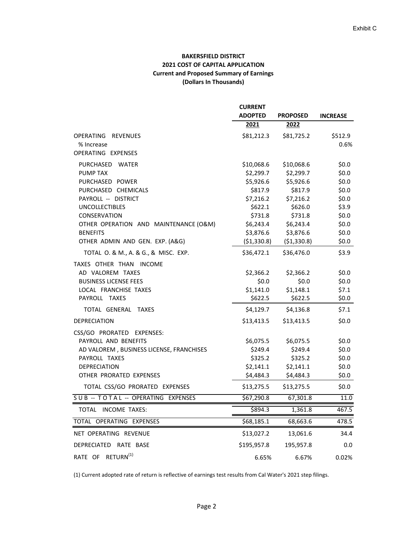## **BAKERSFIELD DISTRICT 2021 COST OF CAPITAL APPLICATION Current and Proposed Summary of Earnings (Dollars In Thousands)**

|                                          | <b>CURRENT</b> |                 |                    |
|------------------------------------------|----------------|-----------------|--------------------|
|                                          | <b>ADOPTED</b> | <b>PROPOSED</b> | <b>INCREASE</b>    |
|                                          | 2021           | 2022            |                    |
| OPERATING REVENUES<br>% Increase         | \$81,212.3     | \$81,725.2      | \$512.9<br>$0.6\%$ |
| OPERATING EXPENSES                       |                |                 |                    |
| PURCHASED WATER                          | \$10,068.6     | \$10,068.6      | \$0.0\$            |
| <b>PUMP TAX</b>                          | \$2,299.7      | \$2,299.7       | \$0.0\$            |
| PURCHASED POWER                          | \$5,926.6      | \$5,926.6       | \$0.0              |
| PURCHASED CHEMICALS                      | \$817.9        | \$817.9         | \$0.0              |
| PAYROLL -- DISTRICT                      | \$7,216.2      | \$7,216.2       | \$0.0\$            |
| <b>UNCOLLECTIBLES</b>                    | \$622.1        | \$626.0         | \$3.9              |
| CONSERVATION                             | \$731.8        | \$731.8         | \$0.0\$            |
| OTHER OPERATION AND MAINTENANCE (O&M)    | \$6,243.4      | \$6,243.4       | \$0.0              |
| <b>BENEFITS</b>                          | \$3,876.6      | \$3,876.6       | \$0.0\$            |
| OTHER ADMIN AND GEN. EXP. (A&G)          | ( \$1,330.8)   | (\$1,330.8)     | \$0.0\$            |
| TOTAL O. & M., A. & G., & MISC. EXP.     | \$36,472.1     | \$36,476.0      | \$3.9              |
| TAXES OTHER THAN INCOME                  |                |                 |                    |
| AD VALOREM TAXES                         | \$2,366.2      | \$2,366.2       | \$0.0\$            |
| <b>BUSINESS LICENSE FEES</b>             | \$0.0\$        | \$0.0\$         | \$0.0\$            |
| LOCAL FRANCHISE TAXES                    | \$1,141.0      | \$1,148.1       | \$7.1              |
| PAYROLL TAXES                            | \$622.5        | \$622.5         | \$0.0\$            |
| TOTAL GENERAL TAXES                      | \$4,129.7      | \$4,136.8       | \$7.1              |
| <b>DEPRECIATION</b>                      | \$13,413.5     | \$13,413.5      | \$0.0\$            |
| CSS/GO PRORATED EXPENSES:                |                |                 |                    |
| PAYROLL AND BENEFITS                     | \$6,075.5      | \$6,075.5       | \$0.0\$            |
| AD VALOREM, BUSINESS LICENSE, FRANCHISES | \$249.4        | \$249.4         | \$0.0\$            |
| PAYROLL TAXES                            | \$325.2        | \$325.2         | \$0.0\$            |
| <b>DEPRECIATION</b>                      | \$2,141.1      | \$2,141.1       | \$0.0\$            |
| OTHER PRORATED EXPENSES                  | \$4,484.3      | \$4,484.3       | \$0.0\$            |
| TOTAL CSS/GO PRORATED EXPENSES           | \$13,275.5     | \$13,275.5      | \$0.0\$            |
| SUB -- TOTAL -- OPERATING EXPENSES       | \$67,290.8     | 67,301.8        | 11.0               |
| TOTAL INCOME TAXES:                      | \$894.3        | 1,361.8         | 467.5              |
| TOTAL OPERATING EXPENSES                 | \$68,185.1     | 68,663.6        | 478.5              |
| NET OPERATING REVENUE                    | \$13,027.2     | 13,061.6        | 34.4               |
| DEPRECIATED RATE BASE                    | \$195,957.8    | 195,957.8       | 0.0                |
| RATE OF RETURN <sup>(1)</sup>            | 6.65%          | 6.67%           | 0.02%              |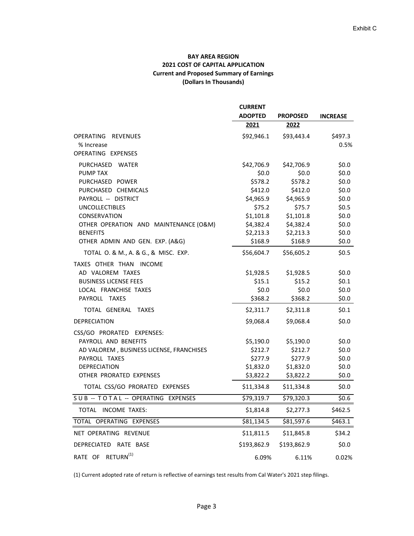## **BAY AREA REGION 2021 COST OF CAPITAL APPLICATION Current and Proposed Summary of Earnings (Dollars In Thousands)**

|                                             | <b>CURRENT</b> |                 |                 |
|---------------------------------------------|----------------|-----------------|-----------------|
|                                             | <b>ADOPTED</b> | <b>PROPOSED</b> | <b>INCREASE</b> |
|                                             | 2021           | 2022            |                 |
| OPERATING REVENUES<br>% Increase            | \$92,946.1     | \$93,443.4      | \$497.3<br>0.5% |
| OPERATING EXPENSES                          |                |                 |                 |
| PURCHASED WATER                             | \$42,706.9     | \$42,706.9      | \$0.0           |
| PUMP TAX                                    | \$0.0\$        | \$0.0\$         | \$0.0\$         |
| PURCHASED POWER                             | \$578.2        | \$578.2         | \$0.0\$         |
| PURCHASED CHEMICALS                         | \$412.0        | \$412.0         | \$0.0           |
| PAYROLL -- DISTRICT                         | \$4,965.9      | \$4,965.9       | \$0.0           |
| <b>UNCOLLECTIBLES</b>                       | \$75.2         | \$75.7          | \$0.5           |
| CONSERVATION                                | \$1,101.8      | \$1,101.8       | \$0.0\$         |
| OTHER OPERATION AND MAINTENANCE (O&M)       | \$4,382.4      | \$4,382.4       | \$0.0\$         |
| <b>BENEFITS</b>                             | \$2,213.3      | \$2,213.3       | \$0.0\$         |
| OTHER ADMIN AND GEN. EXP. (A&G)             | \$168.9        | \$168.9         | \$0.0\$         |
| TOTAL O. & M., A. & G., & MISC. EXP.        | \$56,604.7     | \$56,605.2      | \$0.5           |
| TAXES OTHER THAN INCOME<br>AD VALOREM TAXES | \$1,928.5      | \$1,928.5       | \$0.0\$         |
| <b>BUSINESS LICENSE FEES</b>                | \$15.1         | \$15.2          | \$0.1           |
| LOCAL FRANCHISE TAXES                       | \$0.0\$        | \$0.0\$         | \$0.0\$         |
| PAYROLL TAXES                               | \$368.2        | \$368.2         | \$0.0\$         |
| TOTAL GENERAL TAXES                         | \$2,311.7      | \$2,311.8       | \$0.1           |
| <b>DEPRECIATION</b>                         | \$9,068.4      | \$9,068.4       | \$0.0           |
| CSS/GO PRORATED EXPENSES:                   |                |                 |                 |
| PAYROLL AND BENEFITS                        | \$5,190.0      | \$5,190.0       | \$0.0\$         |
| AD VALOREM, BUSINESS LICENSE, FRANCHISES    | \$212.7        | \$212.7         | \$0.0\$         |
| PAYROLL TAXES                               | \$277.9        | \$277.9         | \$0.0\$         |
| <b>DEPRECIATION</b>                         | \$1,832.0      | \$1,832.0       | \$0.0\$         |
| OTHER PRORATED EXPENSES                     | \$3,822.2      | \$3,822.2       | \$0.0\$         |
| TOTAL CSS/GO PRORATED EXPENSES              | \$11,334.8     | \$11,334.8      | \$0.0\$         |
| SUB -- TOTAL -- OPERATING EXPENSES          | \$79,319.7     | \$79,320.3      | \$0.6           |
| TOTAL INCOME TAXES:                         | \$1,814.8      | \$2,277.3       | \$462.5         |
| TOTAL OPERATING EXPENSES                    | \$81,134.5     | \$81,597.6      | \$463.1         |
| NET OPERATING REVENUE                       | \$11,811.5     | \$11,845.8      | \$34.2          |
| DEPRECIATED RATE BASE                       | \$193,862.9    | \$193,862.9     | \$0.0\$         |
| RATE OF RETURN <sup>(1)</sup>               | 6.09%          | 6.11%           | 0.02%           |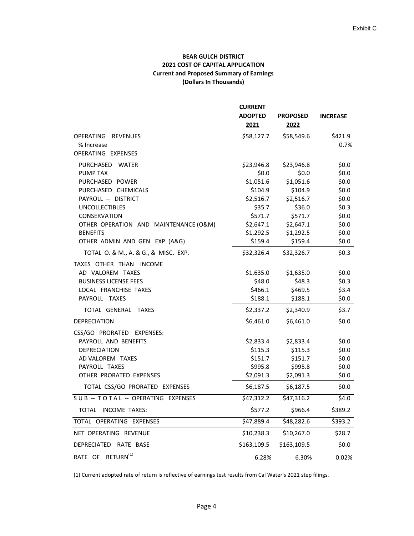## **BEAR GULCH DISTRICT 2021 COST OF CAPITAL APPLICATION Current and Proposed Summary of Earnings (Dollars In Thousands)**

|                                             | <b>CURRENT</b> |                 |                 |
|---------------------------------------------|----------------|-----------------|-----------------|
|                                             | <b>ADOPTED</b> | <b>PROPOSED</b> | <b>INCREASE</b> |
|                                             | 2021           | 2022            |                 |
| OPERATING REVENUES<br>% Increase            | \$58,127.7     | \$58,549.6      | \$421.9<br>0.7% |
| OPERATING EXPENSES                          |                |                 |                 |
| PURCHASED WATER                             | \$23,946.8     | \$23,946.8      | \$0.0\$         |
| <b>PUMP TAX</b>                             | \$0.0\$        | \$0.0\$         | \$0.0\$         |
| PURCHASED POWER                             | \$1,051.6      | \$1,051.6       | \$0.0\$         |
| PURCHASED CHEMICALS                         | \$104.9        | \$104.9         | \$0.0           |
| PAYROLL -- DISTRICT                         | \$2,516.7      | \$2,516.7       | \$0.0           |
| <b>UNCOLLECTIBLES</b>                       | \$35.7         | \$36.0          | \$0.3           |
| CONSERVATION                                | \$571.7        | \$571.7         | \$0.0\$         |
| OTHER OPERATION AND MAINTENANCE (O&M)       | \$2,647.1      | \$2,647.1       | \$0.0\$         |
| <b>BENEFITS</b>                             | \$1,292.5      | \$1,292.5       | \$0.0\$         |
| OTHER ADMIN AND GEN. EXP. (A&G)             | \$159.4        | \$159.4         | \$0.0\$         |
| TOTAL O. & M., A. & G., & MISC. EXP.        | \$32,326.4     | \$32,326.7      | \$0.3           |
| TAXES OTHER THAN INCOME<br>AD VALOREM TAXES | \$1,635.0      | \$1,635.0       | \$0.0\$         |
| <b>BUSINESS LICENSE FEES</b>                | \$48.0         | \$48.3\$        | \$0.3\$         |
| LOCAL FRANCHISE TAXES                       | \$466.1        | \$469.5         | \$3.4           |
| PAYROLL TAXES                               | \$188.1        | \$188.1         | \$0.0\$         |
| TOTAL GENERAL TAXES                         | \$2,337.2      | \$2,340.9       | \$3.7           |
| <b>DEPRECIATION</b>                         | \$6,461.0      | \$6,461.0       | \$0.0\$         |
| CSS/GO PRORATED EXPENSES:                   |                |                 |                 |
| PAYROLL AND BENEFITS                        | \$2,833.4      | \$2,833.4       | \$0.0\$         |
| <b>DEPRECIATION</b>                         | \$115.3        | \$115.3         | \$0.0\$         |
| AD VALOREM TAXES                            | \$151.7        | \$151.7         | \$0.0\$         |
| PAYROLL TAXES                               | \$995.8        | \$995.8         | \$0.0\$         |
| OTHER PRORATED EXPENSES                     | \$2,091.3      | \$2,091.3       | \$0.0\$         |
| TOTAL CSS/GO PRORATED EXPENSES              | \$6,187.5      | \$6,187.5       | \$0.0\$         |
| SUB -- TOTAL -- OPERATING EXPENSES          | \$47,312.2     | \$47,316.2      | \$4.0           |
| TOTAL INCOME TAXES:                         | \$577.2        | \$966.4         | \$389.2         |
| TOTAL OPERATING EXPENSES                    | \$47,889.4     | \$48,282.6      | \$393.2         |
| NET OPERATING REVENUE                       | \$10,238.3     | \$10,267.0      | \$28.7          |
| DEPRECIATED RATE BASE                       | \$163,109.5    | \$163,109.5     | \$0.0\$         |
| RATE OF RETURN <sup>(1)</sup>               | 6.28%          | 6.30%           | 0.02%           |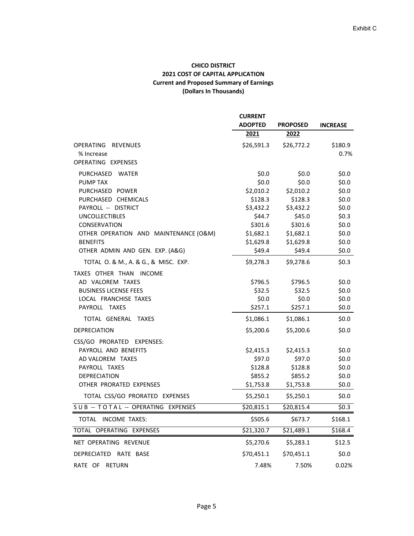## **CHICO DISTRICT 2021 COST OF CAPITAL APPLICATION Current and Proposed Summary of Earnings (Dollars In Thousands)**

|                                       | <b>CURRENT</b> |                 |                 |
|---------------------------------------|----------------|-----------------|-----------------|
|                                       | <b>ADOPTED</b> | <b>PROPOSED</b> | <b>INCREASE</b> |
|                                       | 2021           | 2022            |                 |
| <b>OPERATING</b><br><b>REVENUES</b>   | \$26,591.3     | \$26,772.2      | \$180.9         |
| % Increase                            |                |                 | 0.7%            |
| OPERATING EXPENSES                    |                |                 |                 |
| PURCHASED WATER                       | \$0.0\$        | \$0.0\$         | \$0.0           |
| <b>PUMP TAX</b>                       | \$0.0\$        | \$0.0\$         | \$0.0           |
| PURCHASED POWER                       | \$2,010.2      | \$2,010.2       | \$0.0\$         |
| PURCHASED CHEMICALS                   | \$128.3        | \$128.3         | \$0.0\$         |
| PAYROLL -- DISTRICT                   | \$3,432.2      | \$3,432.2       | \$0.0           |
| <b>UNCOLLECTIBLES</b>                 | \$44.7         | \$45.0          | \$0.3           |
| CONSERVATION                          | \$301.6        | \$301.6         | \$0.0           |
| OTHER OPERATION AND MAINTENANCE (O&M) | \$1,682.1      | \$1,682.1       | \$0.0\$         |
| <b>BENEFITS</b>                       | \$1,629.8      | \$1,629.8       | \$0.0\$         |
| OTHER ADMIN AND GEN. EXP. (A&G)       | \$49.4         | \$49.4          | \$0.0\$         |
| TOTAL O. & M., A. & G., & MISC. EXP.  | \$9,278.3      | \$9,278.6       | \$0.3\$         |
| TAXES OTHER THAN INCOME               |                |                 |                 |
| AD VALOREM TAXES                      | \$796.5        | \$796.5         | \$0.0\$         |
| <b>BUSINESS LICENSE FEES</b>          | \$32.5         | \$32.5          | \$0.0\$         |
| LOCAL FRANCHISE TAXES                 | \$0.0\$        | \$0.0\$         | \$0.0\$         |
| PAYROLL TAXES                         | \$257.1        | \$257.1         | \$0.0\$         |
| TOTAL GENERAL TAXES                   | \$1,086.1      | \$1,086.1       | \$0.0\$         |
| <b>DEPRECIATION</b>                   | \$5,200.6      | \$5,200.6       | \$0.0\$         |
| CSS/GO PRORATED EXPENSES:             |                |                 |                 |
| PAYROLL AND BENEFITS                  | \$2,415.3      | \$2,415.3       | \$0.0\$         |
| AD VALOREM TAXES                      | \$97.0         | \$97.0          | \$0.0\$         |
| PAYROLL TAXES                         | \$128.8        | \$128.8         | \$0.0\$         |
| <b>DEPRECIATION</b>                   | \$855.2        | \$855.2         | \$0.0\$         |
| OTHER PRORATED EXPENSES               | \$1,753.8      | \$1,753.8       | \$0.0\$         |
| TOTAL CSS/GO PRORATED EXPENSES        | \$5,250.1      | \$5,250.1       | \$0.0\$         |
| SUB -- TOTAL -- OPERATING EXPENSES    | \$20,815.1     | \$20,815.4      | \$0.3           |
| TOTAL INCOME TAXES:                   | \$505.6        | \$673.7         | \$168.1         |
| TOTAL OPERATING EXPENSES              | \$21,320.7     | \$21,489.1      | \$168.4         |
| NET OPERATING REVENUE                 | \$5,270.6      | \$5,283.1       | \$12.5          |
| DEPRECIATED RATE BASE                 | \$70,451.1     | \$70,451.1      | \$0.0\$         |
| RATE OF RETURN                        | 7.48%          | 7.50%           | 0.02%           |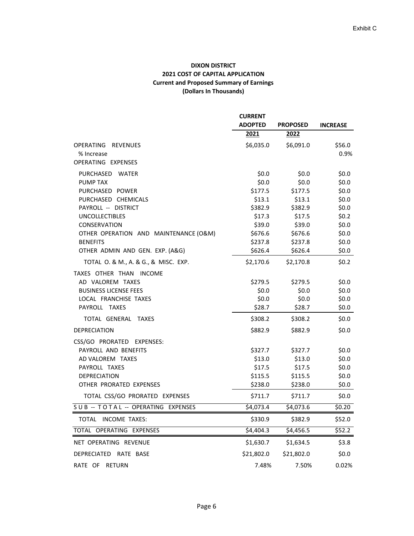## **DIXON DISTRICT 2021 COST OF CAPITAL APPLICATION Current and Proposed Summary of Earnings (Dollars In Thousands)**

|                                       | <b>CURRENT</b>   |                  |                  |
|---------------------------------------|------------------|------------------|------------------|
|                                       | <b>ADOPTED</b>   | <b>PROPOSED</b>  | <b>INCREASE</b>  |
|                                       | 2021             | 2022             |                  |
| OPERATING REVENUES                    | \$6,035.0        | \$6,091.0        | \$56.0           |
| % Increase                            |                  |                  | 0.9%             |
| OPERATING EXPENSES                    |                  |                  |                  |
| PURCHASED WATER                       | \$0.0\$          | \$0.0\$          | \$0.0\$          |
| <b>PUMP TAX</b>                       | \$0.0\$          | \$0.0\$          | \$0.0            |
| PURCHASED POWER                       | \$177.5          | \$177.5          | \$0.0            |
| PURCHASED CHEMICALS                   | \$13.1           | \$13.1           | \$0.0            |
| PAYROLL -- DISTRICT                   | \$382.9          | \$382.9          | \$0.0\$          |
| <b>UNCOLLECTIBLES</b><br>CONSERVATION | \$17.3<br>\$39.0 | \$17.5<br>\$39.0 | \$0.2\$<br>\$0.0 |
| OTHER OPERATION AND MAINTENANCE (O&M) | \$676.6          | \$676.6          | \$0.0\$          |
| <b>BENEFITS</b>                       | \$237.8          | \$237.8          | \$0.0\$          |
| OTHER ADMIN AND GEN. EXP. (A&G)       | \$626.4          | \$626.4          | \$0.0\$          |
| TOTAL O. & M., A. & G., & MISC. EXP.  | \$2,170.6        | \$2,170.8        | \$0.2\$          |
| TAXES OTHER THAN INCOME               |                  |                  |                  |
| AD VALOREM TAXES                      | \$279.5          | \$279.5          | \$0.0\$          |
| <b>BUSINESS LICENSE FEES</b>          | \$0.0            | \$0.0\$          | \$0.0\$          |
| LOCAL FRANCHISE TAXES                 | \$0.0\$          | \$0.0\$          | \$0.0\$          |
| PAYROLL TAXES                         | \$28.7           | \$28.7           | \$0.0\$          |
| TOTAL GENERAL TAXES                   | \$308.2          | \$308.2          | \$0.0            |
| <b>DEPRECIATION</b>                   | \$882.9          | \$882.9          | \$0.0            |
| CSS/GO PRORATED EXPENSES:             |                  |                  |                  |
| PAYROLL AND BENEFITS                  | \$327.7          | \$327.7          | \$0.0\$          |
| AD VALOREM TAXES                      | \$13.0           | \$13.0           | \$0.0            |
| PAYROLL TAXES                         | \$17.5           | \$17.5           | \$0.0\$          |
| <b>DEPRECIATION</b>                   | \$115.5          | \$115.5          | \$0.0\$          |
| OTHER PRORATED EXPENSES               | \$238.0          | \$238.0          | \$0.0\$          |
| TOTAL CSS/GO PRORATED EXPENSES        | \$711.7          | \$711.7          | \$0.0\$          |
| SUB -- TOTAL -- OPERATING EXPENSES    | \$4,073.4        | \$4,073.6        | \$0.20           |
| TOTAL INCOME TAXES:                   | \$330.9          | \$382.9          | \$52.0           |
| TOTAL OPERATING EXPENSES              | \$4,404.3        | \$4,456.5        | \$52.2           |
| NET OPERATING REVENUE                 | \$1,630.7        | \$1,634.5        | \$3.8            |
| DEPRECIATED RATE BASE                 | \$21,802.0       | \$21,802.0       | \$0.0\$          |
| RATE OF RETURN                        | 7.48%            | 7.50%            | 0.02%            |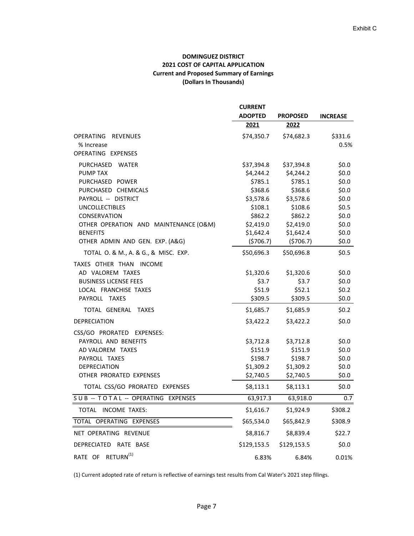## **DOMINGUEZ DISTRICT 2021 COST OF CAPITAL APPLICATION Current and Proposed Summary of Earnings (Dollars In Thousands)**

|                                             | <b>CURRENT</b> |                 |                 |
|---------------------------------------------|----------------|-----------------|-----------------|
|                                             | <b>ADOPTED</b> | <b>PROPOSED</b> | <b>INCREASE</b> |
|                                             | 2021           | 2022            |                 |
| OPERATING REVENUES<br>% Increase            | \$74,350.7     | \$74,682.3      | \$331.6<br>0.5% |
| OPERATING EXPENSES                          |                |                 |                 |
| PURCHASED WATER                             | \$37,394.8     | \$37,394.8      | \$0.0\$         |
| <b>PUMP TAX</b>                             | \$4,244.2      | \$4,244.2       | \$0.0\$         |
| PURCHASED POWER                             | \$785.1        | \$785.1         | \$0.0\$         |
| PURCHASED CHEMICALS                         | \$368.6        | \$368.6         | \$0.0\$         |
| PAYROLL -- DISTRICT                         | \$3,578.6      | \$3,578.6       | \$0.0           |
| <b>UNCOLLECTIBLES</b>                       | \$108.1        | \$108.6         | \$0.5           |
| CONSERVATION                                | \$862.2        | \$862.2         | \$0.0\$         |
| OTHER OPERATION AND MAINTENANCE (O&M)       | \$2,419.0      | \$2,419.0       | \$0.0\$         |
| <b>BENEFITS</b>                             | \$1,642.4      | \$1,642.4       | \$0.0\$         |
| OTHER ADMIN AND GEN. EXP. (A&G)             | (5706.7)       | (5706.7)        | \$0.0\$         |
| TOTAL O. & M., A. & G., & MISC. EXP.        | \$50,696.3     | \$50,696.8      | \$0.5           |
| TAXES OTHER THAN INCOME<br>AD VALOREM TAXES | \$1,320.6      | \$1,320.6       | \$0.0\$         |
| <b>BUSINESS LICENSE FEES</b>                | \$3.7          | \$3.7           | \$0.0\$         |
| LOCAL FRANCHISE TAXES                       | \$51.9         | \$52.1          | \$0.2\$         |
| PAYROLL TAXES                               | \$309.5        | \$309.5         | \$0.0\$         |
| TOTAL GENERAL TAXES                         | \$1,685.7      | \$1,685.9       | \$0.2\$         |
| <b>DEPRECIATION</b>                         | \$3,422.2      | \$3,422.2       | \$0.0\$         |
| CSS/GO PRORATED EXPENSES:                   |                |                 |                 |
| PAYROLL AND BENEFITS                        | \$3,712.8      | \$3,712.8       | \$0.0\$         |
| AD VALOREM TAXES                            | \$151.9        | \$151.9         | \$0.0\$         |
| PAYROLL TAXES                               | \$198.7        | \$198.7         | \$0.0\$         |
| <b>DEPRECIATION</b>                         | \$1,309.2      | \$1,309.2       | \$0.0\$         |
| OTHER PRORATED EXPENSES                     | \$2,740.5      | \$2,740.5       | \$0.0\$         |
| TOTAL CSS/GO PRORATED EXPENSES              | \$8,113.1      | \$8,113.1       | \$0.0\$         |
| SUB -- TOTAL -- OPERATING EXPENSES          | 63,917.3       | 63,918.0        | 0.7             |
| TOTAL INCOME TAXES:                         | \$1,616.7      | \$1,924.9       | \$308.2         |
| TOTAL OPERATING EXPENSES                    | \$65,534.0     | \$65,842.9      | \$308.9         |
| NET OPERATING REVENUE                       | \$8,816.7      | \$8,839.4       | \$22.7          |
| DEPRECIATED RATE BASE                       | \$129,153.5    | \$129,153.5     | \$0.0\$         |
| RATE OF RETURN <sup>(1)</sup>               | 6.83%          | 6.84%           | 0.01%           |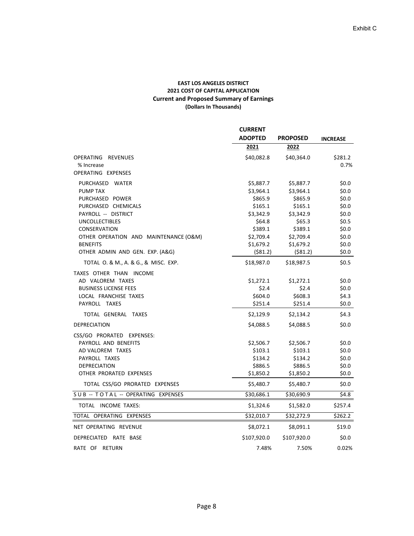#### **EAST LOS ANGELES DISTRICT 2021 COST OF CAPITAL APPLICATION Current and Proposed Summary of Earnings (Dollars In Thousands)**

|                                       | <b>CURRENT</b> | <b>PROPOSED</b> | <b>INCREASE</b> |
|---------------------------------------|----------------|-----------------|-----------------|
|                                       | <b>ADOPTED</b> |                 |                 |
|                                       | 2021           | 2022            |                 |
| OPERATING REVENUES                    | \$40,082.8     | \$40,364.0      | \$281.2         |
| % Increase                            |                |                 | 0.7%            |
| OPERATING EXPENSES                    |                |                 |                 |
| PURCHASED WATER                       | \$5,887.7      | \$5,887.7       | \$0.0           |
| <b>PUMP TAX</b>                       | \$3,964.1      | \$3,964.1       | \$0.0\$         |
| PURCHASED POWER                       | \$865.9        | \$865.9         | \$0.0           |
| PURCHASED CHEMICALS                   | \$165.1        | \$165.1         | \$0.0           |
| PAYROLL -- DISTRICT                   | \$3,342.9      | \$3,342.9       | \$0.0           |
| <b>UNCOLLECTIBLES</b>                 | \$64.8         | \$65.3          | \$0.5           |
| CONSERVATION                          | \$389.1        | \$389.1         | \$0.0           |
| OTHER OPERATION AND MAINTENANCE (O&M) | \$2,709.4      | \$2,709.4       | \$0.0           |
| <b>BENEFITS</b>                       | \$1,679.2      | \$1,679.2       | \$0.0\$         |
| OTHER ADMIN AND GEN. EXP. (A&G)       | ( \$81.2)      | ( \$81.2)       | \$0.0\$         |
| TOTAL O. & M., A. & G., & MISC. EXP.  | \$18,987.0     | \$18,987.5      | \$0.5           |
| TAXES OTHER THAN INCOME               |                |                 |                 |
| AD VALOREM TAXES                      | \$1,272.1      | \$1,272.1       | \$0.0           |
| <b>BUSINESS LICENSE FEES</b>          | \$2.4          | \$2.4           | \$0.0           |
| LOCAL FRANCHISE TAXES                 | \$604.0        | \$608.3         | \$4.3           |
| PAYROLL TAXES                         | \$251.4        | \$251.4         | \$0.0\$         |
| TOTAL GENERAL TAXES                   | \$2,129.9      | \$2,134.2       | \$4.3           |
| <b>DEPRECIATION</b>                   | \$4,088.5      | \$4,088.5       | \$0.0           |
| CSS/GO PRORATED EXPENSES:             |                |                 |                 |
| PAYROLL AND BENEFITS                  | \$2,506.7      | \$2,506.7       | \$0.0           |
| AD VALOREM TAXES                      | \$103.1        | \$103.1         | \$0.0           |
| PAYROLL TAXES                         | \$134.2        | \$134.2         | \$0.0           |
| <b>DEPRECIATION</b>                   | \$886.5        | \$886.5         | \$0.0\$         |
| OTHER PRORATED EXPENSES               | \$1,850.2      | \$1,850.2       | \$0.0\$         |
| TOTAL CSS/GO PRORATED EXPENSES        | \$5,480.7      | \$5,480.7       | \$0.0\$         |
| SUB -- TOTAL -- OPERATING EXPENSES    | \$30,686.1     | \$30,690.9      | \$4.8           |
| TOTAL INCOME TAXES:                   | \$1,324.6      | \$1,582.0       | \$257.4         |
| TOTAL OPERATING EXPENSES              | \$32,010.7     | \$32,272.9      | \$262.2         |
| NET OPERATING REVENUE                 | \$8,072.1      | \$8,091.1       | \$19.0          |
| DEPRECIATED RATE BASE                 | \$107,920.0    | \$107,920.0     | \$0.0           |
| RATE OF RETURN                        | 7.48%          | 7.50%           | 0.02%           |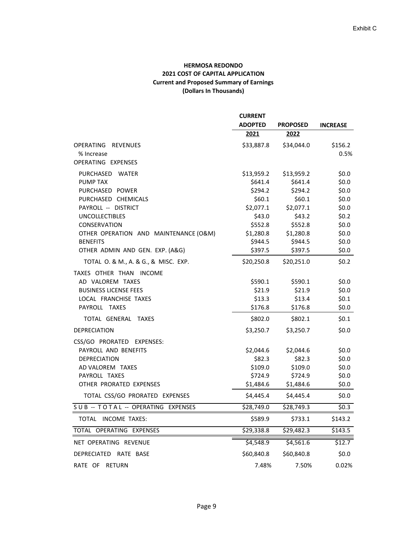## **HERMOSA REDONDO 2021 COST OF CAPITAL APPLICATION Current and Proposed Summary of Earnings (Dollars In Thousands)**

|                                            | <b>CURRENT</b>    |                   |                    |
|--------------------------------------------|-------------------|-------------------|--------------------|
|                                            | <b>ADOPTED</b>    | <b>PROPOSED</b>   | <b>INCREASE</b>    |
|                                            | 2021              | 2022              |                    |
| OPERATING REVENUES                         | \$33,887.8        | \$34,044.0        | \$156.2            |
| % Increase                                 |                   |                   | 0.5%               |
| OPERATING EXPENSES                         |                   |                   |                    |
| PURCHASED WATER                            | \$13,959.2        | \$13,959.2        | \$0.0\$            |
| <b>PUMP TAX</b>                            | \$641.4           | \$641.4           | \$0.0\$            |
| PURCHASED POWER                            | \$294.2<br>\$60.1 | \$294.2<br>\$60.1 | \$0.0\$<br>\$0.0\$ |
| PURCHASED CHEMICALS<br>PAYROLL -- DISTRICT | \$2,077.1         | \$2,077.1         | \$0.0\$            |
| <b>UNCOLLECTIBLES</b>                      | \$43.0            | \$43.2\$          | \$0.2\$            |
| CONSERVATION                               | \$552.8           | \$552.8           | \$0.0\$            |
| OTHER OPERATION AND MAINTENANCE (O&M)      | \$1,280.8         | \$1,280.8         | \$0.0\$            |
| <b>BENEFITS</b>                            | \$944.5           | \$944.5           | \$0.0\$            |
| OTHER ADMIN AND GEN. EXP. (A&G)            | \$397.5           | \$397.5           | \$0.0\$            |
| TOTAL O. & M., A. & G., & MISC. EXP.       | \$20,250.8        | \$20,251.0        | \$0.2\$            |
| TAXES OTHER THAN INCOME                    |                   |                   |                    |
| AD VALOREM TAXES                           | \$590.1           | \$590.1           | \$0.0\$            |
| <b>BUSINESS LICENSE FEES</b>               | \$21.9            | \$21.9            | \$0.0\$            |
| LOCAL FRANCHISE TAXES                      | \$13.3            | \$13.4            | \$0.1              |
| PAYROLL TAXES                              | \$176.8           | \$176.8           | \$0.0\$            |
| TOTAL GENERAL TAXES                        | \$802.0           | \$802.1           | \$0.1              |
| <b>DEPRECIATION</b>                        | \$3,250.7         | \$3,250.7         | \$0.0              |
| CSS/GO PRORATED EXPENSES:                  |                   |                   |                    |
| PAYROLL AND BENEFITS                       | \$2,044.6         | \$2,044.6         | \$0.0\$            |
| <b>DEPRECIATION</b>                        | \$82.3            | \$82.3            | \$0.0\$            |
| AD VALOREM TAXES                           | \$109.0           | \$109.0           | \$0.0\$            |
| PAYROLL TAXES                              | \$724.9           | \$724.9           | \$0.0\$            |
| OTHER PRORATED EXPENSES                    | \$1,484.6         | \$1,484.6         | \$0.0\$            |
| TOTAL CSS/GO PRORATED EXPENSES             | \$4,445.4         | \$4,445.4         | \$0.0\$            |
| SUB -- TOTAL -- OPERATING EXPENSES         | \$28,749.0        | \$28,749.3        | \$0.3\$            |
| TOTAL INCOME TAXES:                        | \$589.9           | \$733.1           | \$143.2            |
| TOTAL OPERATING EXPENSES                   | \$29,338.8        | \$29,482.3        | \$143.5            |
| NET OPERATING REVENUE                      | \$4,548.9         | \$4,561.6         | \$12.7             |
| DEPRECIATED RATE BASE                      | \$60,840.8        | \$60,840.8        | \$0.0\$            |
| RATE OF RETURN                             | 7.48%             | 7.50%             | 0.02%              |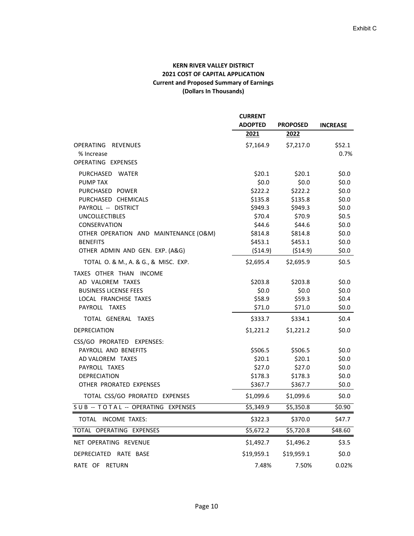## **KERN RIVER VALLEY DISTRICT 2021 COST OF CAPITAL APPLICATION Current and Proposed Summary of Earnings (Dollars In Thousands)**

|                                                    | <b>CURRENT</b><br><b>ADOPTED</b> | <b>PROPOSED</b>    | <b>INCREASE</b>    |
|----------------------------------------------------|----------------------------------|--------------------|--------------------|
|                                                    | 2021                             | 2022               |                    |
| OPERATING REVENUES<br>% Increase                   | \$7,164.9                        | \$7,217.0          | \$52.1<br>0.7%     |
| OPERATING EXPENSES                                 |                                  |                    |                    |
| PURCHASED WATER                                    | \$20.1                           | \$20.1             | \$0.0\$            |
| <b>PUMP TAX</b>                                    | \$0.0\$                          | \$0.0\$            | \$0.0\$            |
| PURCHASED POWER                                    | \$222.2                          | \$222.2            | \$0.0              |
| PURCHASED CHEMICALS                                | \$135.8                          | \$135.8            | \$0.0              |
| PAYROLL -- DISTRICT                                | \$949.3                          | \$949.3            | \$0.0\$            |
| <b>UNCOLLECTIBLES</b>                              | \$70.4                           | \$70.9             | \$0.5              |
| CONSERVATION                                       | \$44.6                           | \$44.6             | \$0.0              |
| OTHER OPERATION AND MAINTENANCE (O&M)              | \$814.8                          | \$814.8            | \$0.0\$            |
| <b>BENEFITS</b><br>OTHER ADMIN AND GEN. EXP. (A&G) | \$453.1<br>( \$14.9)             | \$453.1<br>(514.9) | \$0.0\$<br>\$0.0\$ |
| TOTAL O. & M., A. & G., & MISC. EXP.               | \$2,695.4                        | \$2,695.9          | \$0.5              |
| TAXES OTHER THAN INCOME                            |                                  |                    |                    |
| AD VALOREM TAXES                                   | \$203.8                          | \$203.8            | \$0.0\$            |
| <b>BUSINESS LICENSE FEES</b>                       | \$0.0\$                          | \$0.0\$            | \$0.0\$            |
| LOCAL FRANCHISE TAXES                              | \$58.9                           | \$59.3             | \$0.4\$            |
| PAYROLL TAXES                                      | \$71.0                           | \$71.0             | \$0.0\$            |
| TOTAL GENERAL TAXES                                | \$333.7                          | \$334.1            | \$0.4\$            |
| <b>DEPRECIATION</b>                                | \$1,221.2                        | \$1,221.2          | \$0.0\$            |
| CSS/GO PRORATED EXPENSES:                          |                                  |                    |                    |
| PAYROLL AND BENEFITS                               | \$506.5                          | \$506.5            | \$0.0\$            |
| AD VALOREM TAXES                                   | \$20.1                           | \$20.1             | \$0.0\$            |
| PAYROLL TAXES                                      | \$27.0                           | \$27.0             | \$0.0\$            |
| <b>DEPRECIATION</b>                                | \$178.3                          | \$178.3            | \$0.0\$            |
| OTHER PRORATED EXPENSES                            | \$367.7                          | \$367.7            | \$0.0\$            |
| TOTAL CSS/GO PRORATED EXPENSES                     | \$1,099.6                        | \$1,099.6          | \$0.0\$            |
| SUB -- TOTAL -- OPERATING EXPENSES                 | \$5,349.9                        | \$5,350.8          | \$0.90             |
| TOTAL INCOME TAXES:                                | \$322.3                          | \$370.0            | \$47.7             |
| TOTAL OPERATING EXPENSES                           | \$5,672.2                        | \$5,720.8          | \$48.60            |
| NET OPERATING REVENUE                              | \$1,492.7                        | \$1,496.2          | \$3.5              |
| DEPRECIATED RATE BASE                              | \$19,959.1                       | \$19,959.1         | \$0.0\$            |
| RATE OF RETURN                                     | 7.48%                            | 7.50%              | 0.02%              |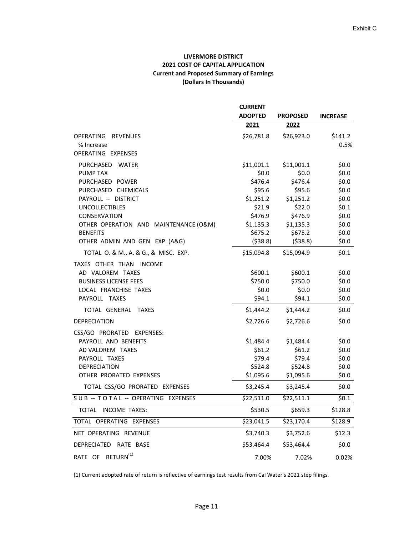## **LIVERMORE DISTRICT 2021 COST OF CAPITAL APPLICATION Current and Proposed Summary of Earnings (Dollars In Thousands)**

|                                        | <b>CURRENT</b> |                   |                  |
|----------------------------------------|----------------|-------------------|------------------|
|                                        | <b>ADOPTED</b> | <b>PROPOSED</b>   | <b>INCREASE</b>  |
|                                        | 2021           | 2022              |                  |
| OPERATING REVENUES<br>% Increase       | \$26,781.8     | \$26,923.0        | \$141.2<br>0.5%  |
| OPERATING EXPENSES                     |                |                   |                  |
| PURCHASED WATER                        | \$11,001.1     | \$11,001.1        | \$0.0            |
| <b>PUMP TAX</b>                        | \$0.0\$        | \$0.0\$           | \$0.0\$          |
| PURCHASED POWER                        | \$476.4        | \$476.4           | \$0.0\$          |
| PURCHASED CHEMICALS                    | \$95.6         | \$95.6            | \$0.0            |
| PAYROLL -- DISTRICT                    | \$1,251.2      | \$1,251.2         | \$0.0            |
| <b>UNCOLLECTIBLES</b>                  | \$21.9         | \$22.0            | \$0.1            |
| CONSERVATION                           | \$476.9        | \$476.9           | \$0.0\$          |
| OTHER OPERATION AND MAINTENANCE (O&M)  | \$1,135.3      | \$1,135.3         | \$0.0\$          |
| <b>BENEFITS</b>                        | \$675.2        | \$675.2           | \$0.0\$          |
| OTHER ADMIN AND GEN. EXP. (A&G)        | (538.8)        | ( \$38.8)         | \$0.0\$          |
| TOTAL O. & M., A. & G., & MISC. EXP.   | \$15,094.8     | \$15,094.9        | \$0.1            |
| TAXES OTHER THAN INCOME                |                |                   |                  |
| AD VALOREM TAXES                       | \$600.1        | \$600.1           | \$0.0\$          |
| <b>BUSINESS LICENSE FEES</b>           | \$750.0        | \$750.0           | \$0.0\$          |
| LOCAL FRANCHISE TAXES<br>PAYROLL TAXES | \$0.0\$        | \$0.0\$<br>\$94.1 | \$0.0\$<br>\$0.0 |
|                                        | \$94.1         |                   |                  |
| TOTAL GENERAL TAXES                    | \$1,444.2      | \$1,444.2         | \$0.0            |
| <b>DEPRECIATION</b>                    | \$2,726.6      | \$2,726.6         | \$0.0\$          |
| CSS/GO PRORATED EXPENSES:              |                |                   |                  |
| PAYROLL AND BENEFITS                   | \$1,484.4      | \$1,484.4         | \$0.0\$          |
| AD VALOREM TAXES                       | \$61.2\$       | \$61.2\$          | \$0.0\$          |
| PAYROLL TAXES                          | \$79.4         | \$79.4            | \$0.0\$          |
| <b>DEPRECIATION</b>                    | \$524.8        | \$524.8           | \$0.0\$          |
| OTHER PRORATED EXPENSES                | \$1,095.6      | \$1,095.6         | \$0.0\$          |
| TOTAL CSS/GO PRORATED EXPENSES         | \$3,245.4      | \$3,245.4         | \$0.0\$          |
| SUB -- TOTAL -- OPERATING EXPENSES     | \$22,511.0     | \$22,511.1        | \$0.1            |
| TOTAL INCOME TAXES:                    | \$530.5        | \$659.3           | \$128.8          |
| TOTAL OPERATING EXPENSES               | \$23,041.5     | \$23,170.4        | \$128.9          |
| NET OPERATING REVENUE                  | \$3,740.3      | \$3,752.6         | \$12.3           |
| DEPRECIATED RATE BASE                  | \$53,464.4     | \$53,464.4        | \$0.0\$          |
| RATE OF RETURN <sup>(1)</sup>          | 7.00%          | 7.02%             | 0.02%            |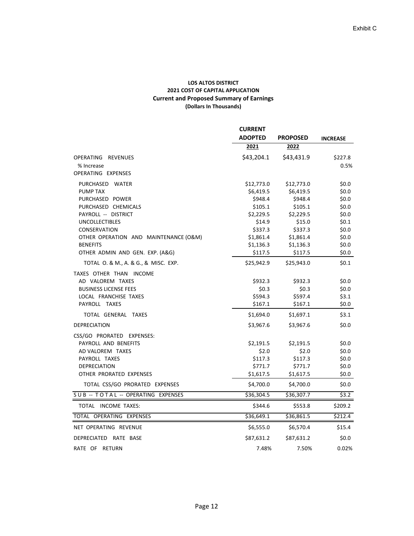#### **LOS ALTOS DISTRICT 2021 COST OF CAPITAL APPLICATION Current and Proposed Summary of Earnings (Dollars In Thousands)**

|                                       | <b>CURRENT</b> |                 | <b>INCREASE</b> |
|---------------------------------------|----------------|-----------------|-----------------|
|                                       | <b>ADOPTED</b> | <b>PROPOSED</b> |                 |
|                                       | 2021           | 2022            |                 |
| OPERATING REVENUES                    | \$43,204.1     | \$43,431.9      | \$227.8         |
| % Increase                            |                |                 | 0.5%            |
| OPERATING EXPENSES                    |                |                 |                 |
| PURCHASED WATER                       | \$12,773.0     | \$12,773.0      | \$0.0           |
| <b>PUMP TAX</b>                       | \$6,419.5      | \$6,419.5       | \$0.0           |
| PURCHASED POWER                       | \$948.4        | \$948.4         | \$0.0           |
| PURCHASED CHEMICALS                   | \$105.1        | \$105.1         | \$0.0           |
| PAYROLL -- DISTRICT                   | \$2,229.5      | \$2,229.5       | \$0.0           |
| <b>UNCOLLECTIBLES</b>                 | \$14.9         | \$15.0          | \$0.1           |
| CONSERVATION                          | \$337.3        | \$337.3         | \$0.0           |
| OTHER OPERATION AND MAINTENANCE (O&M) | \$1,861.4      | \$1,861.4       | \$0.0           |
| <b>BENEFITS</b>                       | \$1,136.3      | \$1,136.3       | \$0.0           |
| OTHER ADMIN AND GEN. EXP. (A&G)       | \$117.5        | \$117.5         | \$0.0\$         |
| TOTAL O. & M., A. & G., & MISC. EXP.  | \$25,942.9     | \$25,943.0      | \$0.1           |
| TAXES OTHER THAN INCOME               |                |                 |                 |
| AD VALOREM TAXES                      | \$932.3        | \$932.3         | \$0.0           |
| <b>BUSINESS LICENSE FEES</b>          | \$0.3          | \$0.3           | \$0.0           |
| LOCAL FRANCHISE TAXES                 | \$594.3        | \$597.4         | \$3.1           |
| PAYROLL TAXES                         | \$167.1        | \$167.1         | \$0.0\$         |
| TOTAL GENERAL TAXES                   | \$1,694.0      | \$1,697.1       | \$3.1           |
| DEPRECIATION                          | \$3,967.6      | \$3,967.6       | \$0.0           |
| CSS/GO PRORATED EXPENSES:             |                |                 |                 |
| PAYROLL AND BENEFITS                  | \$2,191.5      | \$2,191.5       | \$0.0           |
| AD VALOREM TAXES                      | \$2.0          | \$2.0           | \$0.0           |
| PAYROLL TAXES                         | \$117.3        | \$117.3         | \$0.0           |
| <b>DEPRECIATION</b>                   | \$771.7        | \$771.7         | \$0.0           |
| OTHER PRORATED EXPENSES               | \$1,617.5      | \$1,617.5       | \$0.0\$         |
| TOTAL CSS/GO PRORATED EXPENSES        | \$4,700.0      | \$4,700.0       | \$0.0\$         |
| SUB -- TOTAL -- OPERATING EXPENSES    | \$36,304.5     | \$36,307.7      | \$3.2           |
| TOTAL INCOME TAXES:                   | \$344.6        | \$553.8         | \$209.2         |
| TOTAL OPERATING EXPENSES              | \$36,649.1     | \$36,861.5      | \$212.4         |
| NET OPERATING REVENUE                 | \$6,555.0      | \$6,570.4       | \$15.4          |
| <b>DEPRECIATED</b><br>RATE BASE       | \$87,631.2     | \$87,631.2      | \$0.0           |
| RATE OF RETURN                        | 7.48%          | 7.50%           | 0.02%           |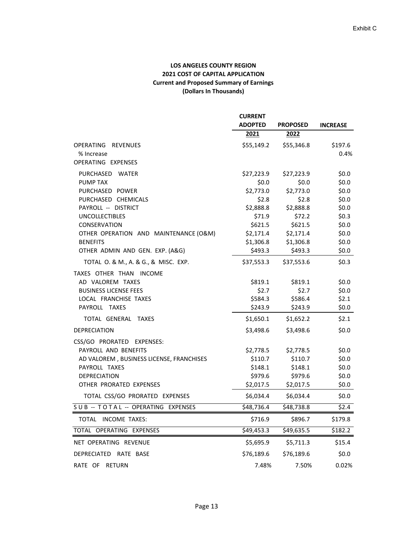## **LOS ANGELES COUNTY REGION 2021 COST OF CAPITAL APPLICATION Current and Proposed Summary of Earnings (Dollars In Thousands)**

|                                          | <b>CURRENT</b>         |                 |                 |
|------------------------------------------|------------------------|-----------------|-----------------|
|                                          | <b>ADOPTED</b>         | <b>PROPOSED</b> | <b>INCREASE</b> |
|                                          | 2021                   | 2022            |                 |
| OPERATING REVENUES                       | \$55,149.2             | \$55,346.8      | \$197.6         |
| % Increase                               |                        |                 | 0.4%            |
| OPERATING EXPENSES                       |                        |                 |                 |
| PURCHASED WATER                          | \$27,223.9             | \$27,223.9      | \$0.0\$         |
| PUMP TAX                                 | \$0.0\$                | \$0.0\$         | \$0.0           |
| PURCHASED POWER                          | \$2,773.0              | \$2,773.0       | \$0.0\$         |
| PURCHASED CHEMICALS                      | \$2.8                  | \$2.8           | \$0.0\$         |
| PAYROLL -- DISTRICT                      | \$2,888.8              | \$2,888.8       | \$0.0\$         |
| <b>UNCOLLECTIBLES</b>                    | \$71.9                 | \$72.2\$        | \$0.3           |
| CONSERVATION                             | \$621.5                | \$621.5         | \$0.0\$         |
| OTHER OPERATION AND MAINTENANCE (O&M)    | \$2,171.4              | \$2,171.4       | \$0.0\$         |
| <b>BENEFITS</b>                          | \$1,306.8              | \$1,306.8       | \$0.0\$         |
| OTHER ADMIN AND GEN. EXP. (A&G)          | \$493.3                | \$493.3         | \$0.0\$         |
| TOTAL O. & M., A. & G., & MISC. EXP.     | \$37,553.3             | \$37,553.6      | \$0.3\$         |
| TAXES OTHER THAN INCOME                  |                        |                 |                 |
| AD VALOREM TAXES                         | \$819.1                | \$819.1         | \$0.0\$         |
| <b>BUSINESS LICENSE FEES</b>             | \$2.7                  | \$2.7           | \$0.0\$         |
| LOCAL FRANCHISE TAXES                    | \$584.3                | \$586.4         | \$2.1           |
| PAYROLL TAXES                            | \$243.9                | \$243.9         | \$0.0\$         |
| TOTAL GENERAL TAXES                      | \$1,650.1              | \$1,652.2       | \$2.1           |
| DEPRECIATION                             | \$3,498.6              | \$3,498.6       | \$0.0\$         |
| CSS/GO PRORATED EXPENSES:                |                        |                 |                 |
| PAYROLL AND BENEFITS                     | \$2,778.5              | \$2,778.5       | \$0.0\$         |
| AD VALOREM, BUSINESS LICENSE, FRANCHISES | \$110.7                | \$110.7         | \$0.0\$         |
| PAYROLL TAXES                            | \$148.1                | \$148.1         | \$0.0\$         |
| <b>DEPRECIATION</b>                      | \$979.6                | \$979.6         | \$0.0\$         |
| OTHER PRORATED EXPENSES                  | \$2,017.5              | \$2,017.5       | \$0.0\$         |
| TOTAL CSS/GO PRORATED EXPENSES           | \$6,034.4              | \$6,034.4       | \$0.0\$         |
| SUB -- TOTAL -- OPERATING EXPENSES       | \$48,736.4             | \$48,738.8      | \$2.4           |
| TOTAL INCOME TAXES:                      | \$716.9                | \$896.7         | \$179.8         |
| TOTAL OPERATING EXPENSES                 | $$49,453.\overline{3}$ | \$49,635.5      | \$182.2         |
| NET OPERATING REVENUE                    | \$5,695.9              | \$5,711.3       | \$15.4          |
| DEPRECIATED RATE BASE                    | \$76,189.6             | \$76,189.6      | \$0.0\$         |
| RATE OF<br><b>RETURN</b>                 | 7.48%                  | 7.50%           | 0.02%           |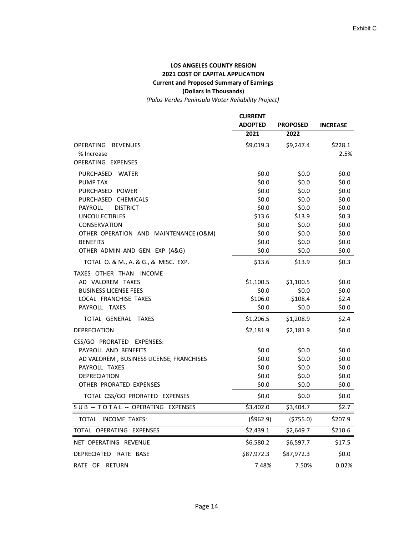## **LOS ANGELES COUNTY REGION 2021 COST OF CAPITAL APPLICATION Current and Proposed Summary of Earnings (Dollars In Thousands)**

*(Palos Verdes Peninsula Water Reliability Project)*

|                                          | <b>CURRENT</b>     |                    |                    |
|------------------------------------------|--------------------|--------------------|--------------------|
|                                          | <b>ADOPTED</b>     | <b>PROPOSED</b>    | <b>INCREASE</b>    |
|                                          | 2021               | 2022               |                    |
| OPERATING REVENUES                       | \$9,019.3          | \$9,247.4          | \$228.1            |
| % Increase                               |                    |                    | 2.5%               |
| OPERATING EXPENSES                       |                    |                    |                    |
| PURCHASED WATER                          | \$0.0\$            | \$0.0\$            | \$0.0\$            |
| <b>PUMP TAX</b>                          | \$0.0\$            | \$0.0\$            | \$0.0\$            |
| PURCHASED POWER                          | \$0.0\$            | \$0.0\$            | \$0.0\$            |
| PURCHASED CHEMICALS                      | \$0.0\$            | \$0.0\$            | \$0.0              |
| PAYROLL -- DISTRICT                      | \$0.0\$            | \$0.0\$            | \$0.0\$            |
| <b>UNCOLLECTIBLES</b><br>CONSERVATION    | \$13.6             | \$13.9             | \$0.3\$<br>\$0.0\$ |
| OTHER OPERATION AND MAINTENANCE (O&M)    | \$0.0\$<br>\$0.0\$ | \$0.0\$<br>\$0.0\$ | \$0.0\$            |
| <b>BENEFITS</b>                          | \$0.0\$            | \$0.0\$            | \$0.0\$            |
| OTHER ADMIN AND GEN. EXP. (A&G)          | \$0.0\$            | \$0.0\$            | \$0.0\$            |
| TOTAL O. & M., A. & G., & MISC. EXP.     | \$13.6             | \$13.9             | \$0.3              |
| TAXES OTHER THAN INCOME                  |                    |                    |                    |
| AD VALOREM TAXES                         | \$1,100.5          | \$1,100.5          | \$0.0\$            |
| <b>BUSINESS LICENSE FEES</b>             | \$0.0\$            | \$0.0\$            | \$0.0\$            |
| LOCAL FRANCHISE TAXES                    | \$106.0            | \$108.4            | \$2.4              |
| PAYROLL TAXES                            | \$0.0\$            | \$0.0\$            | \$0.0\$            |
| TOTAL GENERAL TAXES                      | \$1,206.5          | \$1,208.9          | \$2.4              |
| <b>DEPRECIATION</b>                      | \$2,181.9          | \$2,181.9          | \$0.0\$            |
| CSS/GO PRORATED EXPENSES:                |                    |                    |                    |
| PAYROLL AND BENEFITS                     | \$0.0\$            | \$0.0\$            | \$0.0\$            |
| AD VALOREM, BUSINESS LICENSE, FRANCHISES | \$0.0\$            | \$0.0\$            | \$0.0\$            |
| PAYROLL TAXES                            | \$0.0\$            | \$0.0\$            | \$0.0\$            |
| <b>DEPRECIATION</b>                      | \$0.0\$            | \$0.0\$            | \$0.0\$            |
| OTHER PRORATED EXPENSES                  | \$0.0\$            | \$0.0\$            | \$0.0\$            |
| TOTAL CSS/GO PRORATED EXPENSES           | \$0.0\$            | \$0.0              | \$0.0\$            |
| SUB -- TOTAL -- OPERATING EXPENSES       | \$3,402.0          | \$3,404.7          | \$2.7              |
| TOTAL INCOME TAXES:                      | (5962.9)           | (5755.0)           | \$207.9            |
| TOTAL OPERATING EXPENSES                 | \$2,439.1          | \$2,649.7          | \$210.6            |
| NET OPERATING REVENUE                    | \$6,580.2          | \$6,597.7          | \$17.5             |
| DEPRECIATED RATE BASE                    | \$87,972.3         | \$87,972.3         | \$0.0\$            |
| RATE OF RETURN                           | 7.48%              | 7.50%              | 0.02%              |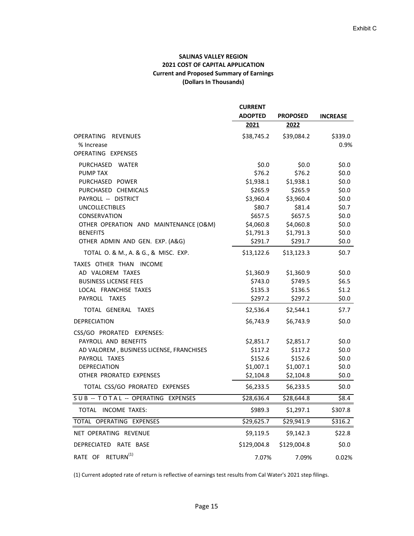## **SALINAS VALLEY REGION 2021 COST OF CAPITAL APPLICATION Current and Proposed Summary of Earnings (Dollars In Thousands)**

|                                          | <b>CURRENT</b> |                        |                 |
|------------------------------------------|----------------|------------------------|-----------------|
|                                          | <b>ADOPTED</b> | <b>PROPOSED</b>        | <b>INCREASE</b> |
|                                          | 2021           | 2022                   |                 |
| OPERATING REVENUES                       | \$38,745.2     | \$39,084.2             | \$339.0         |
| % Increase                               |                |                        | 0.9%            |
| OPERATING EXPENSES                       |                |                        |                 |
| PURCHASED WATER                          | \$0.0\$        | \$0.0\$                | \$0.0\$         |
| PUMP TAX                                 | \$76.2         | \$76.2                 | \$0.0\$         |
| PURCHASED POWER                          | \$1,938.1      | \$1,938.1              | \$0.0           |
| PURCHASED CHEMICALS                      | \$265.9        | \$265.9                | \$0.0\$         |
| PAYROLL -- DISTRICT                      | \$3,960.4      | \$3,960.4              | \$0.0\$         |
| <b>UNCOLLECTIBLES</b>                    | \$80.7         | \$81.4                 | \$0.7           |
| CONSERVATION                             | \$657.5        | \$657.5                | \$0.0           |
| OTHER OPERATION AND MAINTENANCE (O&M)    | \$4,060.8      | \$4,060.8              | \$0.0           |
| <b>BENEFITS</b>                          | \$1,791.3      | \$1,791.3              | \$0.0\$         |
| OTHER ADMIN AND GEN. EXP. (A&G)          | \$291.7        | \$291.7                | \$0.0\$         |
| TOTAL O. & M., A. & G., & MISC. EXP.     | \$13,122.6     | \$13,123.3             | \$0.7           |
| TAXES OTHER THAN INCOME                  |                |                        |                 |
| AD VALOREM TAXES                         | \$1,360.9      | \$1,360.9              | \$0.0\$         |
| <b>BUSINESS LICENSE FEES</b>             | \$743.0        | \$749.5                | \$6.5           |
| LOCAL FRANCHISE TAXES                    | \$135.3        | \$136.5                | \$1.2           |
| PAYROLL TAXES                            | \$297.2        | \$297.2                | \$0.0\$         |
| TOTAL GENERAL TAXES                      | \$2,536.4      | \$2,544.1              | \$7.7           |
| <b>DEPRECIATION</b>                      | \$6,743.9      | \$6,743.9              | \$0.0           |
| CSS/GO PRORATED EXPENSES:                |                |                        |                 |
| PAYROLL AND BENEFITS                     | \$2,851.7      | \$2,851.7              | \$0.0\$         |
| AD VALOREM, BUSINESS LICENSE, FRANCHISES | \$117.2        | \$117.2                | \$0.0\$         |
| PAYROLL TAXES                            | \$152.6        | \$152.6                | \$0.0\$         |
| <b>DEPRECIATION</b>                      | \$1,007.1      | \$1,007.1              | \$0.0\$         |
| OTHER PRORATED EXPENSES                  | \$2,104.8      | \$2,104.8              | \$0.0\$         |
| TOTAL CSS/GO PRORATED EXPENSES           | \$6,233.5      | \$6,233.5              | \$0.0\$         |
| SUB -- TOTAL -- OPERATING EXPENSES       | \$28,636.4     | \$28,644.8             | \$8.4           |
| TOTAL INCOME TAXES:                      | \$989.3        | \$1,297.1              | \$307.8         |
| TOTAL OPERATING EXPENSES                 | \$29,625.7     | $\overline{$}29,941.9$ | \$316.2         |
| NET OPERATING REVENUE                    | \$9,119.5      | \$9,142.3              | \$22.8          |
| DEPRECIATED RATE BASE                    | \$129,004.8    | \$129,004.8            | \$0.0\$         |
| RATE OF RETURN <sup>(1)</sup>            | 7.07%          | 7.09%                  | 0.02%           |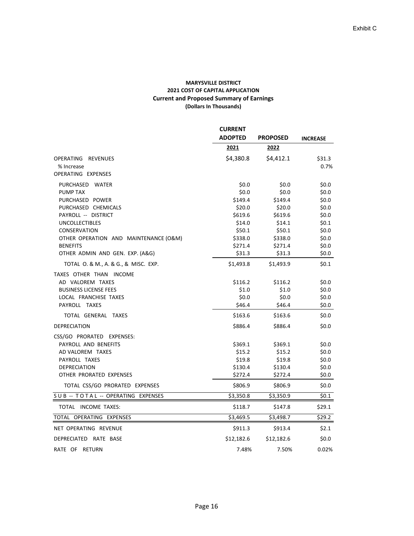#### **MARYSVILLE DISTRICT 2021 COST OF CAPITAL APPLICATION Current and Proposed Summary of Earnings (Dollars In Thousands)**

|                                       | <b>CURRENT</b> |                 |                 |
|---------------------------------------|----------------|-----------------|-----------------|
|                                       | <b>ADOPTED</b> | <b>PROPOSED</b> | <b>INCREASE</b> |
|                                       | 2021           | 2022            |                 |
| OPERATING REVENUES                    | \$4,380.8      | \$4,412.1       | \$31.3          |
| % Increase                            |                |                 | 0.7%            |
| OPERATING EXPENSES                    |                |                 |                 |
| PURCHASED WATER                       | \$0.0          | \$0.0           | \$0.0\$         |
| <b>PUMP TAX</b>                       | \$0.0\$        | \$0.0\$         | \$0.0\$         |
| PURCHASED POWER                       | \$149.4        | \$149.4         | \$0.0\$         |
| PURCHASED CHEMICALS                   | \$20.0         | \$20.0          | \$0.0\$         |
| PAYROLL -- DISTRICT                   | \$619.6        | \$619.6         | \$0.0\$         |
| <b>UNCOLLECTIBLES</b>                 | \$14.0         | \$14.1          | \$0.1           |
| CONSERVATION                          | \$50.1         | \$50.1          | \$0.0\$         |
| OTHER OPERATION AND MAINTENANCE (O&M) | \$338.0        | \$338.0         | \$0.0\$         |
| <b>BENEFITS</b>                       | \$271.4        | \$271.4         | \$0.0\$         |
| OTHER ADMIN AND GEN. EXP. (A&G)       | \$31.3         | \$31.3          | \$0.0\$         |
| TOTAL O. & M., A. & G., & MISC. EXP.  | \$1,493.8      | \$1,493.9       | \$0.1           |
| TAXES OTHER THAN INCOME               |                |                 |                 |
| AD VALOREM TAXES                      | \$116.2        | \$116.2         | \$0.0           |
| <b>BUSINESS LICENSE FEES</b>          | \$1.0          | \$1.0           | \$0.0\$         |
| LOCAL FRANCHISE TAXES                 | \$0.0          | \$0.0           | \$0.0\$         |
| PAYROLL TAXES                         | \$46.4         | \$46.4          | \$0.0\$         |
| TOTAL GENERAL TAXES                   | \$163.6        | \$163.6         | \$0.0\$         |
| <b>DEPRECIATION</b>                   | \$886.4        | \$886.4         | \$0.0           |
| CSS/GO PRORATED EXPENSES:             |                |                 |                 |
| PAYROLL AND BENEFITS                  | \$369.1        | \$369.1         | \$0.0\$         |
| AD VALOREM TAXES                      | \$15.2         | \$15.2          | \$0.0\$         |
| PAYROLL TAXES                         | \$19.8         | \$19.8          | \$0.0\$         |
| <b>DEPRECIATION</b>                   | \$130.4        | \$130.4         | \$0.0\$         |
| OTHER PRORATED EXPENSES               | \$272.4        | \$272.4         | \$0.0\$         |
| TOTAL CSS/GO PRORATED EXPENSES        | \$806.9        | \$806.9         | \$0.0\$         |
| SUB -- TOTAL -- OPERATING EXPENSES    | \$3,350.8      | \$3,350.9       | \$0.1           |
| TOTAL INCOME TAXES:                   | \$118.7        | \$147.8         | \$29.1          |
| TOTAL OPERATING EXPENSES              | \$3,469.5      | \$3,498.7       | \$29.2          |
| NET OPERATING REVENUE                 | \$911.3        | \$913.4         | \$2.1           |
| DEPRECIATED<br>RATE BASE              | \$12,182.6     | \$12,182.6      | \$0.0\$         |
| RATE OF RETURN                        | 7.48%          | 7.50%           | 0.02%           |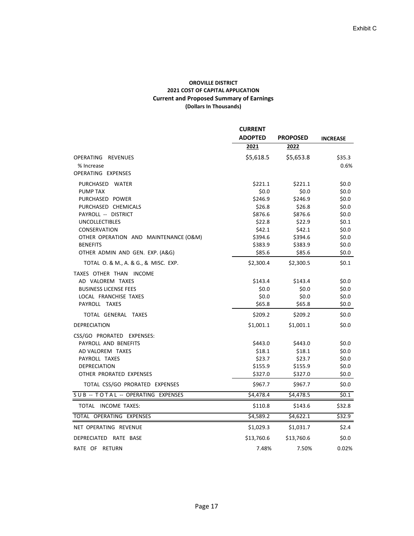#### **OROVILLE DISTRICT 2021 COST OF CAPITAL APPLICATION Current and Proposed Summary of Earnings (Dollars In Thousands)**

|                                       | <b>CURRENT</b> | <b>PROPOSED</b> | <b>INCREASE</b> |
|---------------------------------------|----------------|-----------------|-----------------|
|                                       | <b>ADOPTED</b> |                 |                 |
|                                       | 2021           | 2022            |                 |
| OPERATING REVENUES                    | \$5,618.5      | \$5,653.8       | \$35.3          |
| % Increase                            |                |                 | 0.6%            |
| OPERATING EXPENSES                    |                |                 |                 |
| PURCHASED WATER                       | \$221.1        | \$221.1         | \$0.0           |
| <b>PUMP TAX</b>                       | \$0.0\$        | \$0.0\$         | \$0.0\$         |
| PURCHASED POWER                       | \$246.9        | \$246.9         | \$0.0           |
| PURCHASED CHEMICALS                   | \$26.8         | \$26.8          | \$0.0           |
| PAYROLL -- DISTRICT                   | \$876.6        | \$876.6         | \$0.0\$         |
| <b>UNCOLLECTIBLES</b>                 | \$22.8         | \$22.9          | \$0.1           |
| CONSERVATION                          | \$42.1         | \$42.1          | \$0.0\$         |
| OTHER OPERATION AND MAINTENANCE (O&M) | \$394.6        | \$394.6         | \$0.0           |
| <b>BENEFITS</b>                       | \$383.9        | \$383.9         | \$0.0\$         |
| OTHER ADMIN AND GEN. EXP. (A&G)       | \$85.6         | \$85.6          | \$0.0\$         |
| TOTAL O. & M., A. & G., & MISC. EXP.  | \$2,300.4      | \$2,300.5       | \$0.1           |
| TAXES OTHER THAN INCOME               |                |                 |                 |
| AD VALOREM TAXES                      | \$143.4        | \$143.4         | \$0.0           |
| <b>BUSINESS LICENSE FEES</b>          | \$0.0\$        | \$0.0           | \$0.0           |
| LOCAL FRANCHISE TAXES                 | \$0.0\$        | \$0.0\$         | \$0.0           |
| PAYROLL TAXES                         | \$65.8         | \$65.8          | \$0.0           |
| TOTAL GENERAL TAXES                   | \$209.2        | \$209.2         | \$0.0           |
| <b>DEPRECIATION</b>                   | \$1,001.1      | \$1,001.1       | \$0.0           |
| CSS/GO PRORATED EXPENSES:             |                |                 |                 |
| PAYROLL AND BENEFITS                  | \$443.0        | \$443.0         | \$0.0           |
| AD VALOREM TAXES                      | \$18.1         | \$18.1          | \$0.0\$         |
| PAYROLL TAXES                         | \$23.7         | \$23.7          | \$0.0           |
| <b>DEPRECIATION</b>                   | \$155.9        | \$155.9         | \$0.0\$         |
| OTHER PRORATED EXPENSES               | \$327.0        | \$327.0         | \$0.0           |
| TOTAL CSS/GO PRORATED EXPENSES        | \$967.7        | \$967.7         | \$0.0           |
| SUB -- TOTAL -- OPERATING EXPENSES    | \$4,478.4      | \$4,478.5       | \$0.1           |
| TOTAL INCOME TAXES:                   | \$110.8        | \$143.6         | \$32.8          |
| TOTAL OPERATING EXPENSES              | \$4,589.2      | \$4,622.1       | \$32.9          |
| NET OPERATING REVENUE                 | \$1,029.3      | \$1,031.7       | \$2.4           |
| <b>DEPRECIATED</b><br>RATE BASE       | \$13,760.6     | \$13,760.6      | \$0.0           |
| RATE OF RETURN                        | 7.48%          | 7.50%           | 0.02%           |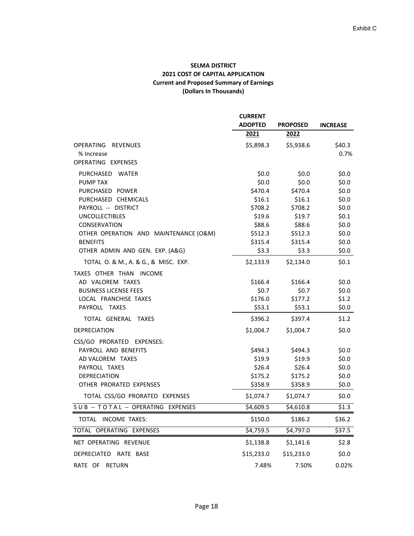## **SELMA DISTRICT 2021 COST OF CAPITAL APPLICATION Current and Proposed Summary of Earnings (Dollars In Thousands)**

|                                                          | <b>CURRENT</b>     |                    |                    |
|----------------------------------------------------------|--------------------|--------------------|--------------------|
|                                                          | <b>ADOPTED</b>     | <b>PROPOSED</b>    | <b>INCREASE</b>    |
|                                                          | 2021               | 2022               |                    |
| OPERATING REVENUES                                       | \$5,898.3          | \$5,938.6          | \$40.3\$           |
| % Increase                                               |                    |                    | 0.7%               |
| OPERATING EXPENSES                                       |                    |                    |                    |
| PURCHASED WATER                                          | \$0.0              | \$0.0\$            | \$0.0\$            |
| <b>PUMP TAX</b>                                          | \$0.0\$            | \$0.0\$            | \$0.0              |
| PURCHASED POWER                                          | \$470.4            | \$470.4            | \$0.0              |
| PURCHASED CHEMICALS                                      | \$16.1             | \$16.1             | \$0.0\$            |
| PAYROLL -- DISTRICT                                      | \$708.2            | \$708.2            | \$0.0\$            |
| <b>UNCOLLECTIBLES</b>                                    | \$19.6             | \$19.7             | \$0.1              |
| CONSERVATION                                             | \$88.6             | \$88.6             | \$0.0              |
| OTHER OPERATION AND MAINTENANCE (O&M)<br><b>BENEFITS</b> | \$512.3<br>\$315.4 | \$512.3<br>\$315.4 | \$0.0\$<br>\$0.0\$ |
| OTHER ADMIN AND GEN. EXP. (A&G)                          | \$3.3              | \$3.3              | \$0.0\$            |
| TOTAL O. & M., A. & G., & MISC. EXP.                     | \$2,133.9          | \$2,134.0          | \$0.1              |
| TAXES OTHER THAN INCOME                                  |                    |                    |                    |
| AD VALOREM TAXES                                         | \$166.4            | \$166.4            | \$0.0\$            |
| <b>BUSINESS LICENSE FEES</b>                             | \$0.7              | \$0.7              | \$0.0\$            |
| LOCAL FRANCHISE TAXES                                    | \$176.0            | \$177.2            | \$1.2              |
| PAYROLL TAXES                                            | \$53.1             | \$53.1             | \$0.0\$            |
| TOTAL GENERAL TAXES                                      | \$396.2            | \$397.4            | \$1.2              |
| DEPRECIATION                                             | \$1,004.7          | \$1,004.7          | \$0.0\$            |
| CSS/GO PRORATED EXPENSES:                                |                    |                    |                    |
| PAYROLL AND BENEFITS                                     | \$494.3            | \$494.3            | \$0.0\$            |
| AD VALOREM TAXES                                         | \$19.9             | \$19.9             | \$0.0\$            |
| PAYROLL TAXES                                            | \$26.4             | \$26.4             | \$0.0\$            |
| DEPRECIATION                                             | \$175.2            | \$175.2            | \$0.0\$            |
| OTHER PRORATED EXPENSES                                  | \$358.9            | \$358.9            | \$0.0\$            |
| TOTAL CSS/GO PRORATED EXPENSES                           | \$1,074.7          | \$1,074.7          | \$0.0\$            |
| SUB -- TOTAL -- OPERATING EXPENSES                       | \$4,609.5          | \$4,610.8          | \$1.3              |
| TOTAL INCOME TAXES:                                      | \$150.0            | \$186.2            | \$36.2             |
| TOTAL OPERATING EXPENSES                                 | \$4,759.5          | \$4,797.0          | \$37.5             |
| NET OPERATING REVENUE                                    | \$1,138.8          | \$1,141.6          | \$2.8              |
| DEPRECIATED RATE BASE                                    | \$15,233.0         | \$15,233.0         | \$0.0\$            |
| RATE OF<br><b>RETURN</b>                                 | 7.48%              | 7.50%              | 0.02%              |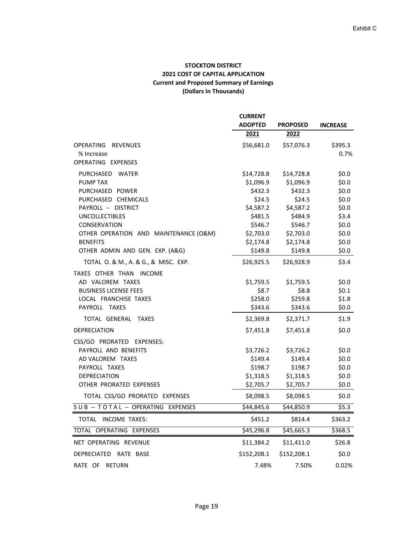## **STOCKTON DISTRICT 2021 COST OF CAPITAL APPLICATION Current and Proposed Summary of Earnings (Dollars In Thousands)**

|                                       | <b>CURRENT</b> |                 |                 |
|---------------------------------------|----------------|-----------------|-----------------|
|                                       | <b>ADOPTED</b> | <b>PROPOSED</b> | <b>INCREASE</b> |
|                                       | 2021           | 2022            |                 |
| OPERATING REVENUES                    | \$56,681.0     | \$57,076.3      | \$395.3         |
| % Increase<br>OPERATING EXPENSES      |                |                 | 0.7%            |
| PURCHASED WATER                       | \$14,728.8     | \$14,728.8      | \$0.0\$         |
| <b>PUMP TAX</b>                       | \$1,096.9      | \$1,096.9       | \$0.0\$         |
| PURCHASED POWER                       | \$432.3        | \$432.3         | \$0.0\$         |
| PURCHASED CHEMICALS                   | \$24.5         | \$24.5          | \$0.0           |
| PAYROLL -- DISTRICT                   | \$4,587.2      | \$4,587.2       | \$0.0           |
| <b>UNCOLLECTIBLES</b>                 | \$481.5        | \$484.9         | \$3.4           |
| CONSERVATION                          | \$546.7        | \$546.7         | \$0.0\$         |
| OTHER OPERATION AND MAINTENANCE (O&M) | \$2,703.0      | \$2,703.0       | \$0.0\$         |
| <b>BENEFITS</b>                       | \$2,174.8      | \$2,174.8       | \$0.0\$         |
| OTHER ADMIN AND GEN. EXP. (A&G)       | \$149.8        | \$149.8         | \$0.0\$         |
| TOTAL O. & M., A. & G., & MISC. EXP.  | \$26,925.5     | \$26,928.9      | \$3.4           |
| TAXES OTHER THAN INCOME               |                |                 |                 |
| AD VALOREM TAXES                      | \$1,759.5      | \$1,759.5       | \$0.0\$         |
| <b>BUSINESS LICENSE FEES</b>          | \$8.7          | \$8.8           | \$0.1           |
| LOCAL FRANCHISE TAXES                 | \$258.0        | \$259.8         | \$1.8           |
| PAYROLL TAXES                         | \$343.6        | \$343.6         | \$0.0           |
| TOTAL GENERAL TAXES                   | \$2,369.8      | \$2,371.7       | \$1.9           |
| <b>DEPRECIATION</b>                   | \$7,451.8      | \$7,451.8       | \$0.0\$         |
| CSS/GO PRORATED EXPENSES:             |                |                 |                 |
| PAYROLL AND BENEFITS                  | \$3,726.2      | \$3,726.2       | \$0.0\$         |
| AD VALOREM TAXES                      | \$149.4        | \$149.4         | \$0.0\$         |
| PAYROLL TAXES                         | \$198.7        | \$198.7         | \$0.0\$         |
| <b>DEPRECIATION</b>                   | \$1,318.5      | \$1,318.5       | \$0.0\$         |
| OTHER PRORATED EXPENSES               | \$2,705.7      | \$2,705.7       | \$0.0\$         |
| TOTAL CSS/GO PRORATED EXPENSES        | \$8,098.5      | \$8,098.5       | \$0.0\$         |
| SUB -- TOTAL -- OPERATING EXPENSES    | \$44,845.6     | \$44,850.9      | \$5.3           |
| TOTAL INCOME TAXES:                   | \$451.2        | \$814.4         | \$363.2         |
| TOTAL OPERATING EXPENSES              | \$45,296.8     | \$45,665.3      | \$368.5         |
| NET OPERATING REVENUE                 | \$11,384.2     | \$11,411.0      | \$26.8          |
| DEPRECIATED RATE BASE                 | \$152,208.1    | \$152,208.1     | \$0.0\$         |
| RATE OF RETURN                        | 7.48%          | 7.50%           | 0.02%           |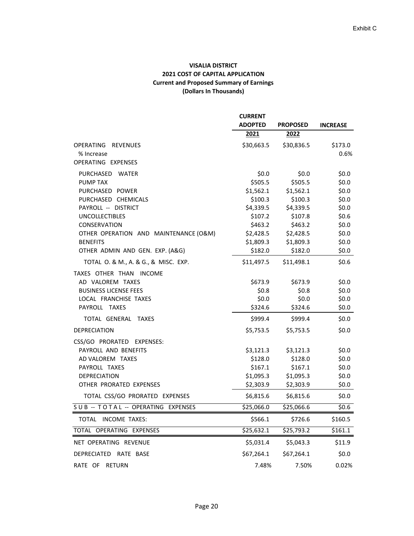## **VISALIA DISTRICT 2021 COST OF CAPITAL APPLICATION Current and Proposed Summary of Earnings (Dollars In Thousands)**

|                                                        | <b>CURRENT</b><br><b>ADOPTED</b> | <b>PROPOSED</b>      | <b>INCREASE</b> |
|--------------------------------------------------------|----------------------------------|----------------------|-----------------|
|                                                        | 2021                             | 2022                 |                 |
| OPERATING REVENUES<br>% Increase<br>OPERATING EXPENSES | \$30,663.5                       | \$30,836.5           | \$173.0<br>0.6% |
|                                                        |                                  |                      |                 |
| PURCHASED WATER                                        | \$0.0\$                          | \$0.0\$              | \$0.0           |
| <b>PUMP TAX</b><br>PURCHASED POWER                     | \$505.5<br>\$1,562.1             | \$505.5<br>\$1,562.1 | \$0.0<br>\$0.0  |
| PURCHASED CHEMICALS                                    | \$100.3                          | \$100.3              | \$0.0\$         |
| PAYROLL -- DISTRICT                                    | \$4,339.5                        | \$4,339.5            | \$0.0\$         |
| <b>UNCOLLECTIBLES</b>                                  | \$107.2                          | \$107.8              | \$0.6           |
| <b>CONSERVATION</b>                                    | \$463.2                          | \$463.2              | \$0.0           |
| OTHER OPERATION AND MAINTENANCE (O&M)                  | \$2,428.5                        | \$2,428.5            | \$0.0\$         |
| <b>BENEFITS</b>                                        | \$1,809.3                        | \$1,809.3            | \$0.0\$         |
| OTHER ADMIN AND GEN. EXP. (A&G)                        | \$182.0                          | \$182.0              | \$0.0\$         |
| TOTAL O. & M., A. & G., & MISC. EXP.                   | \$11,497.5                       | \$11,498.1           | \$0.6           |
| TAXES OTHER THAN INCOME<br>AD VALOREM TAXES            | \$673.9                          | \$673.9              | \$0.0\$         |
| <b>BUSINESS LICENSE FEES</b>                           | \$0.8\$                          | \$0.8\$              | \$0.0\$         |
| LOCAL FRANCHISE TAXES                                  | \$0.0\$                          | \$0.0\$              | \$0.0\$         |
| PAYROLL TAXES                                          | \$324.6                          | \$324.6              | \$0.0\$         |
| TOTAL GENERAL TAXES                                    | \$999.4                          | \$999.4              | \$0.0\$         |
| DEPRECIATION                                           | \$5,753.5                        | \$5,753.5            | \$0.0           |
| CSS/GO PRORATED EXPENSES:                              |                                  |                      |                 |
| PAYROLL AND BENEFITS                                   | \$3,121.3                        | \$3,121.3            | \$0.0\$         |
| AD VALOREM TAXES                                       | \$128.0                          | \$128.0              | \$0.0\$         |
| PAYROLL TAXES                                          | \$167.1                          | \$167.1              | \$0.0\$         |
| DEPRECIATION                                           | \$1,095.3                        | \$1,095.3            | \$0.0\$         |
| OTHER PRORATED EXPENSES                                | \$2,303.9                        | \$2,303.9            | \$0.0\$         |
| TOTAL CSS/GO PRORATED EXPENSES                         | \$6,815.6                        | \$6,815.6            | \$0.0\$         |
| SUB -- TOTAL -- OPERATING EXPENSES                     | \$25,066.0                       | \$25,066.6           | \$0.6           |
| TOTAL INCOME TAXES:                                    | \$566.1                          | \$726.6              | \$160.5         |
| TOTAL OPERATING EXPENSES                               | \$25,632.1                       | 525,793.2            | \$161.1         |
| NET OPERATING REVENUE                                  | \$5,031.4                        | \$5,043.3            | \$11.9          |
| DEPRECIATED RATE BASE                                  | \$67,264.1                       | \$67,264.1           | \$0.0\$         |
| RATE OF RETURN                                         | 7.48%                            | 7.50%                | 0.02%           |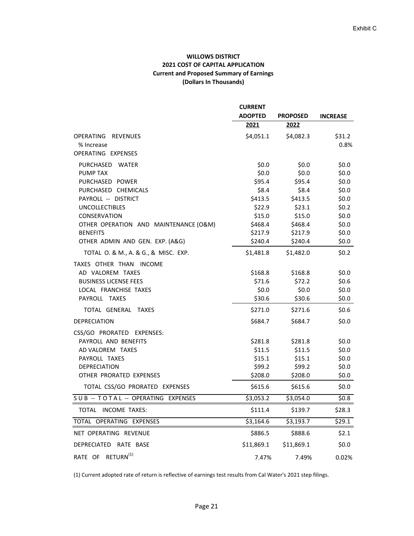## **WILLOWS DISTRICT 2021 COST OF CAPITAL APPLICATION Current and Proposed Summary of Earnings (Dollars In Thousands)**

|                                       | <b>CURRENT</b> | <b>PROPOSED</b>       | <b>INCREASE</b>    |
|---------------------------------------|----------------|-----------------------|--------------------|
|                                       | <b>ADOPTED</b> |                       |                    |
|                                       | 2021           | 2022                  |                    |
| OPERATING REVENUES<br>% Increase      | \$4,051.1      | \$4,082.3             | \$31.2\$<br>0.8%   |
| OPERATING EXPENSES                    |                |                       |                    |
| PURCHASED WATER                       | \$0.0\$        | \$0.0\$               | \$0.0              |
| <b>PUMP TAX</b>                       | \$0.0\$        | \$0.0\$               | \$0.0\$            |
| PURCHASED POWER                       | \$95.4         | \$95.4                | \$0.0              |
| PURCHASED CHEMICALS                   | \$8.4          | \$8.4                 | \$0.0              |
| PAYROLL -- DISTRICT                   | \$413.5        | \$413.5               | \$0.0              |
| <b>UNCOLLECTIBLES</b>                 | \$22.9         | \$23.1                | \$0.2              |
| CONSERVATION                          | \$15.0         | \$15.0                | \$0.0              |
| OTHER OPERATION AND MAINTENANCE (O&M) | \$468.4        | \$468.4               | \$0.0              |
| <b>BENEFITS</b>                       | \$217.9        | \$217.9               | \$0.0              |
| OTHER ADMIN AND GEN. EXP. (A&G)       | \$240.4        | \$240.4               | \$0.0\$            |
| TOTAL O. & M., A. & G., & MISC. EXP.  | \$1,481.8      | \$1,482.0             | \$0.2              |
| TAXES OTHER THAN INCOME               |                |                       |                    |
| AD VALOREM TAXES                      | \$168.8        | \$168.8               | \$0.0              |
| <b>BUSINESS LICENSE FEES</b>          | \$71.6         | \$72.2\$              | \$0.6              |
| LOCAL FRANCHISE TAXES                 | \$0.0\$        | \$0.0\$               | \$0.0\$            |
| PAYROLL TAXES                         | \$30.6         | \$30.6                | \$0.0\$            |
| TOTAL GENERAL TAXES                   | \$271.0        | \$271.6               | \$0.6              |
| <b>DEPRECIATION</b>                   | \$684.7        | \$684.7               | \$0.0              |
| CSS/GO PRORATED EXPENSES:             |                |                       |                    |
| PAYROLL AND BENEFITS                  | \$281.8        | \$281.8               | \$0.0              |
| AD VALOREM TAXES                      | \$11.5         | \$11.5                | \$0.0\$            |
| PAYROLL TAXES                         | \$15.1         | \$15.1                | \$0.0\$            |
| <b>DEPRECIATION</b>                   | \$99.2         | \$99.2                | \$0.0\$            |
| OTHER PRORATED EXPENSES               | \$208.0        | \$208.0               | \$0.0\$            |
| TOTAL CSS/GO PRORATED EXPENSES        | \$615.6        | \$615.6               | \$0.0\$            |
| SUB -- TOTAL -- OPERATING EXPENSES    | \$3,053.2      | $\overline{$}3,054.0$ | 50.8               |
| TOTAL INCOME TAXES:                   | \$111.4        | \$139.7               | \$28.3             |
| TOTAL OPERATING EXPENSES              | \$3,164.6      | \$3,193.7             | $\overline{$}29.1$ |
| NET OPERATING REVENUE                 | \$886.5        | \$888.6               | \$2.1              |
| DEPRECIATED RATE BASE                 | \$11,869.1     | \$11,869.1            | \$0.0\$            |
| RATE OF RETURN <sup>(1)</sup>         | 7.47%          | 7.49%                 | 0.02%              |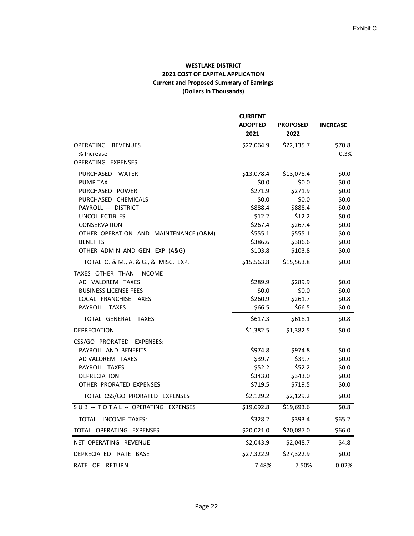## **WESTLAKE DISTRICT 2021 COST OF CAPITAL APPLICATION Current and Proposed Summary of Earnings (Dollars In Thousands)**

|                                                          | <b>CURRENT</b>     |                        |                    |
|----------------------------------------------------------|--------------------|------------------------|--------------------|
|                                                          | <b>ADOPTED</b>     | <b>PROPOSED</b>        | <b>INCREASE</b>    |
|                                                          | 2021               | 2022                   |                    |
| OPERATING REVENUES                                       | \$22,064.9         | \$22,135.7             | \$70.8             |
| % Increase                                               |                    |                        | 0.3%               |
| OPERATING EXPENSES                                       |                    |                        |                    |
| PURCHASED WATER                                          | \$13,078.4         | \$13,078.4             | \$0.0\$            |
| <b>PUMP TAX</b>                                          | \$0.0\$            | \$0.0\$                | \$0.0\$            |
| PURCHASED POWER                                          | \$271.9            | \$271.9                | \$0.0\$            |
| PURCHASED CHEMICALS                                      | \$0.0\$            | \$0.0\$                | \$0.0\$            |
| PAYROLL -- DISTRICT                                      | \$888.4            | \$888.4                | \$0.0\$            |
| <b>UNCOLLECTIBLES</b>                                    | \$12.2\$           | \$12.2\$               | \$0.0\$            |
| CONSERVATION                                             | \$267.4            | \$267.4                | \$0.0\$            |
| OTHER OPERATION AND MAINTENANCE (O&M)<br><b>BENEFITS</b> | \$555.1<br>\$386.6 | \$555.1<br>\$386.6     | \$0.0\$<br>\$0.0\$ |
| OTHER ADMIN AND GEN. EXP. (A&G)                          | \$103.8            | \$103.8                | \$0.0\$            |
| TOTAL O. & M., A. & G., & MISC. EXP.                     | \$15,563.8         | \$15,563.8             | \$0.0\$            |
| TAXES OTHER THAN INCOME                                  |                    |                        |                    |
| AD VALOREM TAXES                                         | \$289.9            | \$289.9                | \$0.0\$            |
| <b>BUSINESS LICENSE FEES</b>                             | \$0.0\$            | \$0.0\$                | \$0.0\$            |
| LOCAL FRANCHISE TAXES                                    | \$260.9            | \$261.7                | \$0.8\$            |
| PAYROLL TAXES                                            | \$66.5             | \$66.5                 | \$0.0\$            |
| TOTAL GENERAL TAXES                                      | \$617.3            | \$618.1                | \$0.8\$            |
| <b>DEPRECIATION</b>                                      | \$1,382.5          | \$1,382.5              | \$0.0\$            |
| CSS/GO PRORATED EXPENSES:                                |                    |                        |                    |
| PAYROLL AND BENEFITS                                     | \$974.8            | \$974.8                | \$0.0\$            |
| AD VALOREM TAXES                                         | \$39.7             | \$39.7                 | \$0.0\$            |
| PAYROLL TAXES                                            | \$52.2             | \$52.2                 | \$0.0\$            |
| <b>DEPRECIATION</b>                                      | \$343.0            | \$343.0                | \$0.0\$            |
| OTHER PRORATED EXPENSES                                  | \$719.5            | \$719.5                | \$0.0\$            |
| TOTAL CSS/GO PRORATED EXPENSES                           | \$2,129.2          | \$2,129.2              | \$0.0\$            |
| SUB -- TOTAL -- OPERATING EXPENSES                       | \$19,692.8         | $\overline{$19,693.6}$ | \$0.8              |
| TOTAL INCOME TAXES:                                      | \$328.2            | \$393.4                | \$65.2             |
| TOTAL OPERATING EXPENSES                                 | \$20,021.0         | \$20,087.0             | \$66.0             |
| NET OPERATING REVENUE                                    | \$2,043.9          | \$2,048.7              | \$4.8              |
| DEPRECIATED RATE BASE                                    | \$27,322.9         | \$27,322.9             | \$0.0\$            |
| RATE OF RETURN                                           | 7.48%              | 7.50%                  | 0.02%              |